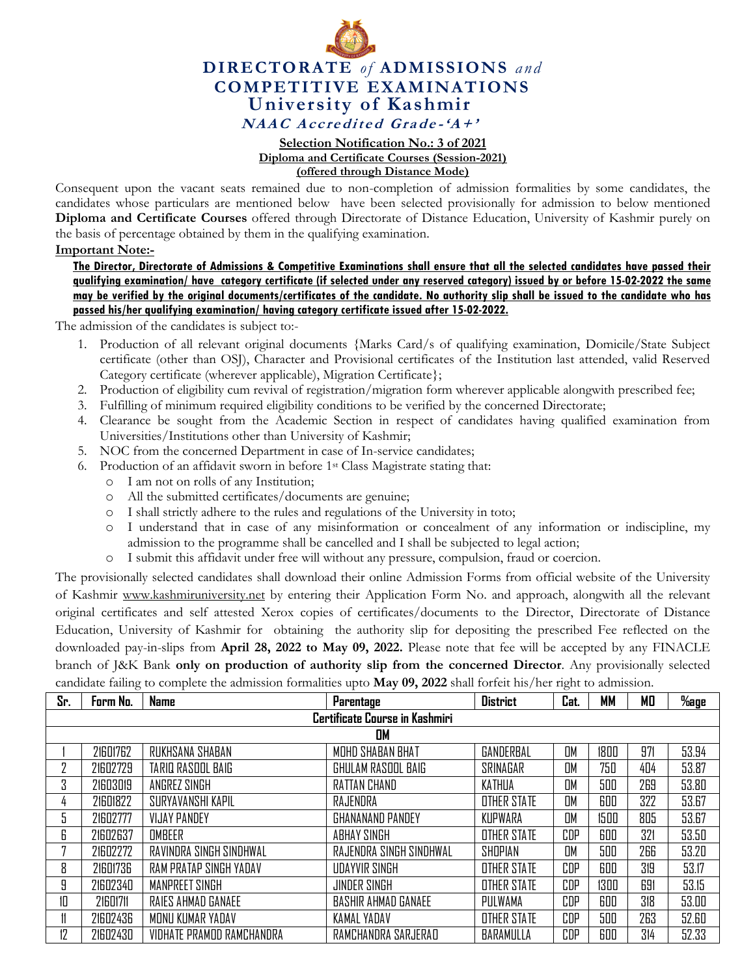

## **DIRECTORATE** *of* **ADMISSIONS** *and* **COMPETITIVE EXAMINATIONS University of Kashmir NAAC** Accredited Grade-' $A$ +'

## **Selection Notification No.: 3 of 2021 Diploma and Certificate Courses (Session-2021)**

## **(offered through Distance Mode)**

Consequent upon the vacant seats remained due to non-completion of admission formalities by some candidates, the candidates whose particulars are mentioned below have been selected provisionally for admission to below mentioned **Diploma and Certificate Courses** offered through Directorate of Distance Education, University of Kashmir purely on the basis of percentage obtained by them in the qualifying examination.

## **Important Note:-**

**The Director, Directorate of Admissions & Competitive Examinations shall ensure that all the selected candidates have passed their qualifying examination/ have category certificate (if selected under any reserved category) issued by or before 15-02-2022 the same may be verified by the original documents/certificates of the candidate. No authority slip shall be issued to the candidate who has passed his/her qualifying examination/ having category certificate issued after 15-02-2022.** 

The admission of the candidates is subject to:-

- 1. Production of all relevant original documents {Marks Card/s of qualifying examination, Domicile/State Subject certificate (other than OSJ), Character and Provisional certificates of the Institution last attended, valid Reserved Category certificate (wherever applicable), Migration Certificate};
- 2. Production of eligibility cum revival of registration/migration form wherever applicable alongwith prescribed fee;
- 3. Fulfilling of minimum required eligibility conditions to be verified by the concerned Directorate;
- 4. Clearance be sought from the Academic Section in respect of candidates having qualified examination from Universities/Institutions other than University of Kashmir;
- 5. NOC from the concerned Department in case of In-service candidates;
- 6. Production of an affidavit sworn in before 1st Class Magistrate stating that:
	- o I am not on rolls of any Institution;
	- o All the submitted certificates/documents are genuine;
	- o I shall strictly adhere to the rules and regulations of the University in toto;
	- o I understand that in case of any misinformation or concealment of any information or indiscipline, my admission to the programme shall be cancelled and I shall be subjected to legal action;
	- o I submit this affidavit under free will without any pressure, compulsion, fraud or coercion.

The provisionally selected candidates shall download their online Admission Forms from official website of the University of Kashmir [www.kashmiruniversity.net](http://www.kashmiruniversity.net/) by entering their Application Form No. and approach, alongwith all the relevant original certificates and self attested Xerox copies of certificates/documents to the Director, Directorate of Distance Education, University of Kashmir for obtaining the authority slip for depositing the prescribed Fee reflected on the downloaded pay-in-slips from **April 28, 2022 to May 09, 2022.** Please note that fee will be accepted by any FINACLE branch of J&K Bank **only on production of authority slip from the concerned Director**. Any provisionally selected candidate failing to complete the admission formalities upto **May 09, 2022** shall forfeit his/her right to admission.

| Sr.                            | Form No. | <b>Name</b>               | Parentage                  | <b>District</b>    | Cat.      | MМ   | МO  | $%$ age |  |  |
|--------------------------------|----------|---------------------------|----------------------------|--------------------|-----------|------|-----|---------|--|--|
| Certificate Course in Kashmiri |          |                           |                            |                    |           |      |     |         |  |  |
|                                | OM       |                           |                            |                    |           |      |     |         |  |  |
|                                | 21601762 | RUKHSANA SHABAN           | MOHD SHABAN BHAT           | GANDERBAL          | <b>OM</b> | 1800 | 971 | 53.94   |  |  |
|                                | 21602729 | TARIQ RASOOL BAIG         | GHULAM RASOOL BAIG         | SRINAGAR           | OM        | 750  | 404 | 53.87   |  |  |
| 3                              | 21603019 | ANGREZ SINGH              | RATTAN CHAND               | KATHUA             | OM        | 500  | 269 | 53.80   |  |  |
| 4                              | 21601822 | SURYAVANSHI KAPIL         | RAJENDRA                   | OTHER STATE        | OM        | 600  | 322 | 53.67   |  |  |
| 5                              | 21602777 | <b>VIJAY PANDEY</b>       | GHANANAND PANDEY           | KUPWARA            | OM        | 1500 | 805 | 53.67   |  |  |
| 6                              | 21602637 | OMBEER                    | ABHAY SINGH                | OTHER STATE        | CDP       | 600  | 321 | 53.50   |  |  |
|                                | 21602272 | RAVINDRA SINGH SINDHWAL   | RAJENDRA SINGH SINDHWAL    | SHOPIAN            | OM        | 500  | 266 | 53.20   |  |  |
| 8                              | 21601736 | RAM PRATAP SINGH YADAV    | <b>UDAYVIR SINGH</b>       | <b>OTHER STATE</b> | CDP       | 600  | 319 | 53.17   |  |  |
| 9                              | 21602340 | MANPREET SINGH            | JINDER SINGH               | <b>OTHER STATE</b> | CDP       | 1300 | 691 | 53.15   |  |  |
| 10                             | 21601711 | RAIES AHMAD GANAEE        | <b>BASHIR AHMAD GANAEE</b> | PULWAMA            | CDP       | 600  | 318 | 53.00   |  |  |
| 11                             | 21602436 | MONU KUMAR YADAV          | KAMAL YADAV                | OTHER STATE        | CDP       | 500  | 263 | 52.60   |  |  |
| 12                             | 21602430 | VIDHATE PRAMOD RAMCHANDRA | RAMCHANDRA SARJERAD        | BARAMULLA          | CDP       | 600  | 314 | 52.33   |  |  |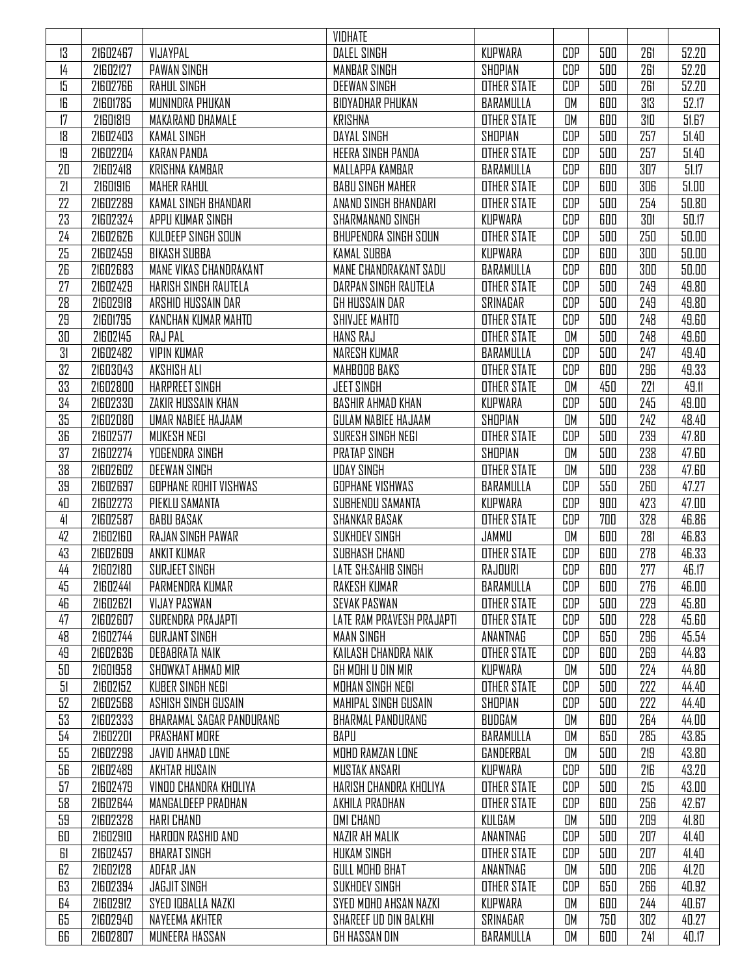|          |                      |                                                     | VIDHATE                                    |                      |            |            |            |                |
|----------|----------------------|-----------------------------------------------------|--------------------------------------------|----------------------|------------|------------|------------|----------------|
| 13       | 21602467             | VIJAYPAL                                            | <b>DALEL SINGH</b>                         | KUPWARA              | CDP        | 500        | 261        | 52.20          |
| 14       | 21602127             | <b>PAWAN SINGH</b>                                  | <b>MANBAR SINGH</b>                        | SHOPIAN              | CDP        | 500        | 261        | 52.20          |
| 15       | 21602766             | <b>RAHUL SINGH</b>                                  | <b>DEEWAN SINGH</b>                        | <b>OTHER STATE</b>   | CDP        | 500        | 261        | 52.20          |
| 16       | 21601785             | MUNINDRA PHUKAN                                     | <b>BIDYADHAR PHUKAN</b>                    | BARAMULLA            | OM         | 600        | 313        | 52.17          |
| 17       | 21601819             | MAKARAND DHAMALE                                    | <b>KRISHNA</b>                             | <b>OTHER STATE</b>   | OM         | 600        | 310        | 51.67          |
| 18       | 21602403             | <b>KAMAL SINGH</b>                                  | DAYAL SINGH                                | SHOPIAN              | CDP        | 500        | 257        | 51.40          |
| 19       | 21602204             | <b>KARAN PANDA</b>                                  | <b>HEERA SINGH PANDA</b>                   | <b>OTHER STATE</b>   | <b>CDP</b> | 500        | 257        | 51.40          |
| 20       | 21602418             | <b>KRISHNA KAMBAR</b>                               | MALLAPPA KAMBAR                            | BARAMULLA            | <b>CDP</b> | 600        | 307        | 51.17          |
| 21       | 21601916             | <b>MAHER RAHUL</b>                                  | <b>BABU SINGH MAHER</b>                    | <b>OTHER STATE</b>   | <b>CDP</b> | 600        | 306        | 51.00          |
| 22       | 21602289             | KAMAL SINGH BHANDARI                                | ANAND SINGH BHANDARI                       | <b>OTHER STATE</b>   | CDP        | 500        | 254        | 50.80          |
| 23       | 21602324             | APPU KUMAR SINGH                                    | SHARMANAND SINGH                           | KUPWARA              | CDP        | 600        | 301        | 50.17          |
| 24       | 21602626             | KULDEEP SINGH SOUN                                  | BHUPENDRA SINGH SOUN                       | <b>OTHER STATE</b>   | CDP        | 500        | 250        | 50.00          |
| 25       | 21602459             | <b>BIKASH SUBBA</b>                                 | <b>KAMAL SUBBA</b>                         | KUPWARA              | CDP        | 600        | 300        | 50.00          |
| 26       | 21602683             | MANE VIKAS CHANDRAKANT                              | MANE CHANDRAKANT SADU                      | BARAMULLA            | CDP        | 600        | 300        | 50.00          |
| 27       | 21602429             | HARISH SINGH RAUTELA                                | DARPAN SINGH RAUTELA                       | <b>OTHER STATE</b>   | <b>CDP</b> | 500        | 249        | 49.80          |
| 28       | 21602918             | ARSHID HUSSAIN DAR                                  | GH HUSSAIN DAR                             | SRINAGAR             | <b>CDP</b> | 500        | 249        | 49.80          |
| 29       | 21601795             | KANCHAN KUMAR MAHTO                                 | SHIVJEE MAHTO                              | <b>OTHER STATE</b>   | <b>CDP</b> | 500        | 248        | 49.60          |
| 30       | 21602145             | RAJ PAL                                             | <b>HANS RAJ</b>                            | <b>OTHER STATE</b>   | OM         | 500        | 248        | 49.60          |
| 31       | 21602482             | <b>VIPIN KUMAR</b>                                  | NARESH KUMAR                               | BARAMULLA            | CDP        | 500        | 247        | 49.40          |
| 32       | 21603043             | <b>AKSHISH ALI</b>                                  | MAHBOOB BAKS                               | <b>OTHER STATE</b>   | CDP        | 600        | 296        | 49.33          |
| 33       | 21602800             | <b>HARPREET SINGH</b>                               | <b>JEET SINGH</b>                          | <b>OTHER STATE</b>   | OM         | 450        | 221        | 49.11          |
| 34       | 21602330             | ZAKIR HUSSAIN KHAN                                  | <b>BASHIR AHMAD KHAN</b>                   | KUPWARA              | CDP        | 500        | 245        | 49.00          |
| 35       | 21602080             | <b>UMAR NABIEE HAJAAM</b>                           | <b>GULAM NABIEE HAJAAM</b>                 | SHOPIAN              | OM         | 500        | 242        | 48.40          |
| 36       | 21602577             | MUKESH NEGI                                         | SURESH SINGH NEGI                          | <b>OTHER STATE</b>   | CDP        | 500        | 239        | 47.80          |
| 37       | 21602274             | YOGENDRA SINGH                                      | <b>PRATAP SINGH</b>                        | SHOPIAN              | OM         | 500        | 238        | 47.60          |
| 38       | 21602602             |                                                     |                                            |                      | OM         | 500        | 238        |                |
|          |                      | <b>DEEWAN SINGH</b><br><b>GOPHANE ROHIT VISHWAS</b> | <b>UDAY SINGH</b>                          | <b>OTHER STATE</b>   | CDP        | 550        | 260        | 47.60<br>47.27 |
| 39       | 21602697<br>21602273 | PIEKLU SAMANTA                                      | <b>GOPHANE VISHWAS</b><br>SUBHENDU SAMANTA | BARAMULLA<br>KUPWARA | CDP        | 900        | 423        | 47.00          |
| 40<br>41 | 21602587             | <b>BABU BASAK</b>                                   | <b>SHANKAR BASAK</b>                       | <b>OTHER STATE</b>   | CDP        | 700        | 328        | 46.86          |
| 42       | 21602160             | <b>RAJAN SINGH PAWAR</b>                            | <b>SUKHDEV SINGH</b>                       | JAMMU                | OM         | 600        | 281        | 46.83          |
|          |                      |                                                     |                                            |                      |            |            |            |                |
| 43<br>44 | 21602609<br>21602180 | ANKIT KUMAR<br>SURJEET SINGH                        | SUBHASH CHAND<br>LATE SH:SAHIB SINGH       | <b>OTHER STATE</b>   | CDP<br>CDP | 600<br>600 | 278<br>277 | 46.33<br>46.17 |
|          |                      |                                                     |                                            | RAJOURI              |            |            |            |                |
| 45       | 21602441             | PARMENDRA KUMAR                                     | RAKESH KUMAR                               | BARAMULLA            | CDP        | 600        | 276        | 46.00          |
| 46       | 21602621             | <b>VIJAY PASWAN</b>                                 | <b>SEVAK PASWAN</b>                        | <b>OTHER STATE</b>   | CDP        | 500        | 229        | 45.80          |
| 47       | 21602607             | SURENDRA PRAJAPTI                                   | LATE RAM PRAVESH PRAJAPTI                  | <b>OTHER STATE</b>   | CDP        | 500        | 228        | 45.60          |
| 48       | 21602744             | <b>GURJANT SINGH</b>                                | <b>MAAN SINGH</b>                          | ANANTNAG             | CDP        | 650        | 296        | 45.54          |
| 49       | 21602636             | DEBABRATA NAIK                                      | KAILASH CHANDRA NAIK                       | <b>OTHER STATE</b>   | CDP        | 600        | 269        | 44.83          |
| 50       | 21601958             | SHOWKAT AHMAD MIR                                   | GH MOHI U DIN MIR                          | KUPWARA              | OM         | 500        | 224        | 44.80          |
| 51       | 21602152             | KUBER SINGH NEGI                                    | MOHAN SINGH NEGI                           | <b>OTHER STATE</b>   | CDP        | 500        | 222        | 44.40          |
| 52       | 21602568             | ASHISH SINGH GUSAIN                                 | MAHIPAL SINGH GUSAIN                       | SHOPIAN              | CDP        | 500        | 222        | 44.40          |
| 53       | 21602333             | <b>BHARAMAL SAGAR PANDURANG</b>                     | <b>BHARMAL PANDURANG</b>                   | BUDGAM               | OM         | 600        | 264        | 44.00          |
| 54       | 21602201             | PRASHANT MORE                                       | BAPU                                       | BARAMULLA            | OM         | 650        | 285        | 43.85          |
| 55       | 21602298             | JAVID AHMAD LONE                                    | MOHD RAMZAN LONE                           | GANDERBAL            | OM         | 500        | 219        | 43.80          |
| 56       | 21602489             | AKHTAR HUSAIN                                       | MUSTAK ANSARI                              | KUPWARA              | CDP        | 500        | 216        | 43.20          |
| 57       | 21602479             | VINDD CHANDRA KHOLIYA                               | HARISH CHANDRA KHOLIYA                     | <b>OTHER STATE</b>   | CDP        | 500        | 215        | 43.00          |
| 58       | 21602644             | MANGALDEEP PRADHAN                                  | AKHILA PRADHAN                             | <b>OTHER STATE</b>   | CDP        | 600        | 256        | 42.67          |
| 59       | 21602328             | HARI CHAND                                          | <b>OMI CHAND</b>                           | KULGAM               | OM         | 500        | 209        | 41.80          |
| 60       | 21602910             | HAROON RASHID AND                                   | NAZIR AH MALIK                             | ANANTNAG             | CDP        | 500        | 207        | 41.40          |
| 61       | 21602457             | <b>BHARAT SINGH</b>                                 | <b>HUKAM SINGH</b>                         | <b>OTHER STATE</b>   | CDP        | 500        | 207        | 41.40          |
| 62       | 21602128             | ADFAR JAN                                           | GULL MOHD BHAT                             | ANANTNAG             | OM         | 500        | 206        | 41.20          |
| 63       | 21602394             | <b>JAGJIT SINGH</b>                                 | <b>SUKHDEV SINGH</b>                       | <b>OTHER STATE</b>   | CDP        | 650        | 266        | 40.92          |
| 64       | 21602912             | SYED IDBALLA NAZKI                                  | SYED MOHD AHSAN NAZKI                      | KUPWARA              | OM         | 600        | 244        | 40.67          |
| 65       | 21602940             | NAYEEMA AKHTER                                      | SHAREEF UD DIN BALKHI                      | SRINAGAR             | OM         | 750        | 302        | 40.27          |
| 66       | 21602807             | MUNEERA HASSAN                                      | GH HASSAN DIN                              | BARAMULLA            | OM         | 600        | 241        | 40.17          |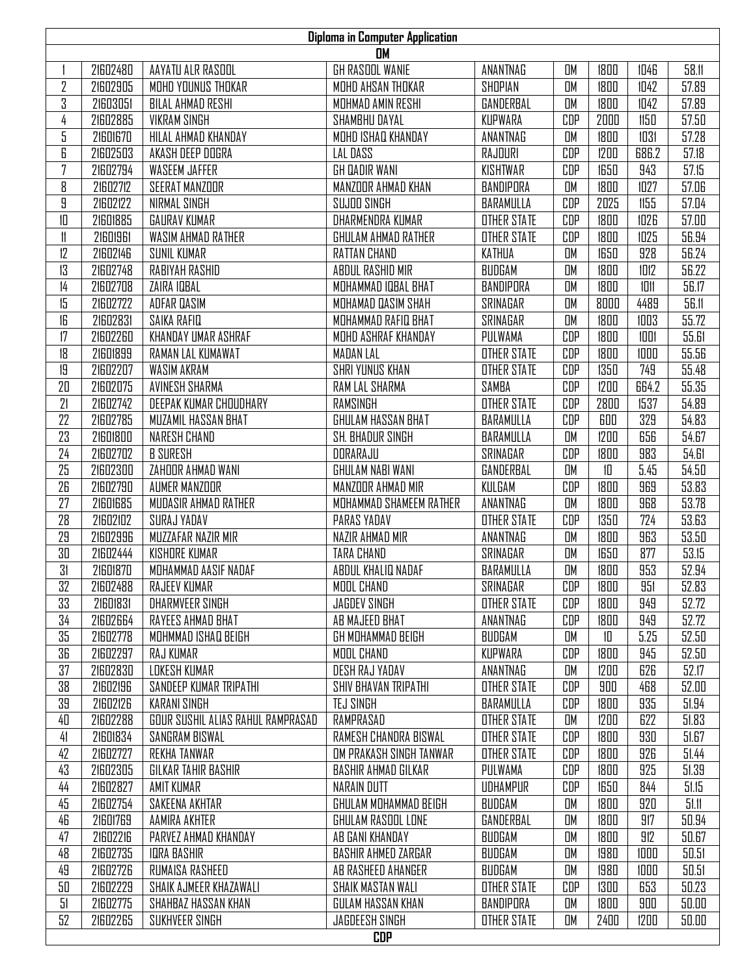| <b>Diploma in Computer Application</b><br>OM |          |                                   |                            |                    |            |      |       |       |  |
|----------------------------------------------|----------|-----------------------------------|----------------------------|--------------------|------------|------|-------|-------|--|
|                                              | 21602480 | AAYATU ALR RASOOL                 | GH RASOOL WANIE            | ANANTNAG           | OM         | 1800 | 1046  | 58.11 |  |
| $\overline{2}$                               | 21602905 | MOHD YOUNUS THOKAR                | MOHD AHSAN THOKAR          | SHOPIAN            | OM         | 1800 | 1042  | 57.89 |  |
| 3                                            | 21603051 | BILAL AHMAD RESHI                 | MOHMAD AMIN RESHI          | GANDERBAL          | OM         | 1800 | 1042  | 57.89 |  |
| 4                                            | 21602885 | <b>VIKRAM SINGH</b>               | SHAMBHU DAYAL              | KUPWARA            | CDP        | 2000 | 1150  | 57.50 |  |
| 5                                            | 21601670 | HILAL AHMAD KHANDAY               | MOHD ISHAQ KHANDAY         | ANANTNAG           | OM         | 1800 | 1031  | 57.28 |  |
| 6                                            | 21602503 | AKASH DEEP DOGRA                  | LAL DASS                   | RAJOURI            | <b>CDP</b> | 1200 | 686.2 | 57.18 |  |
| $\overline{7}$                               | 21602794 | <b>WASEEM JAFFER</b>              | <b>GH DADIR WANI</b>       | KISHTWAR           | <b>CDP</b> | 1650 | 943   | 57.15 |  |
| 8                                            | 21602712 | SEERAT MANZOOR                    | MANZOOR AHMAD KHAN         | BANDIPORA          | OM         | 1800 | 1027  | 57.06 |  |
| 9                                            | 21602122 | NIRMAL SINGH                      | SUJOO SINGH                | BARAMULLA          | CDP        | 2025 | 1155  | 57.04 |  |
| 10                                           | 21601885 | <b>GAURAV KUMAR</b>               | DHARMENDRA KUMAR           | <b>OTHER STATE</b> | <b>CDP</b> | 1800 | 1026  | 57.00 |  |
| 11                                           | 21601961 | WASIM AHMAD RATHER                | GHULAM AHMAD RATHER        | <b>OTHER STATE</b> | <b>CDP</b> | 1800 | 1025  | 56.94 |  |
| 12                                           | 21602146 | <b>SUNIL KUMAR</b>                | <b>RATTAN CHAND</b>        | KATHUA             | OM         | 1650 | 928   | 56.24 |  |
| 13                                           | 21602748 | <b>RABIYAH RASHID</b>             | ABDUL RASHID MIR           | BUDGAM             | OM         | 1800 | 1012  | 56.22 |  |
| $\frac{1}{4}$                                | 21602708 | ZAIRA IDBAL                       | MOHAMMAD IQBAL BHAT        | BANDIPORA          | OM         | 1800 | 1011  | 56.17 |  |
| 15                                           | 21602722 | ADFAR DASIM                       | MOHAMAD DASIM SHAH         | SRINAGAR           | OM         | 8000 | 4489  | 56.11 |  |
| 16                                           | 21602831 | SAIKA RAFIQ                       | MOHAMMAD RAFIQ BHAT        | <b>SRINAGAR</b>    | OM         | 1800 | 1003  | 55.72 |  |
| 17                                           | 21602260 | KHANDAY UMAR ASHRAF               | MOHD ASHRAF KHANDAY        | PULWAMA            | CDP        | 1800 | 1001  | 55.61 |  |
| 18                                           | 21601899 | RAMAN LAL KUMAWAT                 | <b>MADAN LAL</b>           | <b>OTHER STATE</b> | <b>CDP</b> | 1800 | 1000  | 55.56 |  |
| 19                                           | 21602207 | <b>WASIM AKRAM</b>                | SHRI YUNUS KHAN            | <b>OTHER STATE</b> | <b>CDP</b> | 1350 | 749   | 55.48 |  |
| 20                                           | 21602075 | <b>AVINESH SHARMA</b>             | <b>RAM LAL SHARMA</b>      | SAMBA              | <b>CDP</b> | 1200 | 664.2 | 55.35 |  |
| 21                                           | 21602742 | DEEPAK KUMAR CHOUDHARY            | RAMSINGH                   | <b>OTHER STATE</b> | <b>CDP</b> | 2800 | 1537  | 54.89 |  |
| 22                                           | 21602785 | MUZAMIL HASSAN BHAT               | GHULAM HASSAN BHAT         | BARAMULLA          | <b>CDP</b> | 600  | 329   | 54.83 |  |
| 23                                           | 21601800 | NARESH CHAND                      | SH. BHADUR SINGH           | BARAMULLA          | OM         | 1200 | 656   | 54.67 |  |
| 24                                           | 21602702 | <b>B SURESH</b>                   | DORARAJU                   | SRINAGAR           | <b>CDP</b> | 1800 | 983   | 54.61 |  |
| 25                                           | 21602300 | ZAHOOR AHMAD WANI                 | GHULAM NABI WANI           | GANDERBAL          | OM         | 10   | 5.45  | 54.50 |  |
| 26                                           | 21602790 | AUMER MANZOOR                     | MANZOOR AHMAD MIR          | KULGAM             | <b>CDP</b> | 1800 | 969   | 53.83 |  |
| 27                                           | 21601685 | MUDASIR AHMAD RATHER              | MOHAMMAD SHAMEEM RATHER    | ANANTNAG           | OM         | 1800 | 968   | 53.78 |  |
| 28                                           | 21602102 | SURAJ YADAV                       | PARAS YADAV                | <b>OTHER STATE</b> | CDP        | 1350 | 724   | 53.63 |  |
| 29                                           | 21602996 | MUZZAFAR NAZIR MIR                | NAZIR AHMAD MIR            | ANANTNAG           | OM         | 1800 | 963   | 53.50 |  |
| 30                                           | 21602444 | <b>KISHORE KUMAR</b>              | <b>TARA CHAND</b>          | SRINAGAR           | OM         | 1650 | 877   | 53.15 |  |
| 31                                           | 21601870 | MOHAMMAD AASIF NADAF              | ABDUL KHALIQ NADAF         | BARAMULLA          | <b>OM</b>  | 1800 | 953   | 52.94 |  |
| 32                                           | 21602488 | RAJEEV KUMAR                      | MOOL CHAND                 | SRINAGAR           | CDP        | 1800 | 951   | 52.83 |  |
| 33                                           | 21601831 | <b>DHARMVEER SINGH</b>            | <b>JAGDEV SINGH</b>        | <b>OTHER STATE</b> | CDP        | 1800 | 949   | 52.72 |  |
| 34                                           | 21602664 | RAYEES AHMAD BHAT                 | AB MAJEED BHAT             | ANANTNAG           | CDP        | 1800 | 949   | 52.72 |  |
| 35                                           | 21602778 | MOHMMAD ISHAQ BEIGH               | GH MOHAMMAD BEIGH          | BUDGAM             | OM         | 10   | 5.25  | 52.50 |  |
| 36                                           | 21602297 | RAJ KUMAR                         | MOOL CHAND                 | KUPWARA            | CDP        | 1800 | 945   | 52.50 |  |
| 37                                           | 21602830 | LOKESH KUMAR                      | DESH RAJ YADAV             | ANANTNAG           | OM         | 1200 | 626   | 52.17 |  |
| 38                                           | 21602196 | SANDEEP KUMAR TRIPATHI            | SHIV BHAVAN TRIPATHI       | <b>OTHER STATE</b> | CDP        | 900  | 468   | 52.00 |  |
| 39                                           | 21602126 | <b>KARANI SINGH</b>               | TEJ SINGH                  | BARAMULLA          | CDP        | 1800 | 935   | 51.94 |  |
| 40                                           | 21602288 | GOUR SUSHIL ALIAS RAHUL RAMPRASAD | RAMPRASAD                  | <b>OTHER STATE</b> | OM         | 1200 | 622   | 51.83 |  |
| 41                                           | 21601834 | SANGRAM BISWAL                    | RAMESH CHANDRA BISWAL      | <b>OTHER STATE</b> | CDP        | 1800 | 930   | 51.67 |  |
| 42                                           | 21602727 | REKHA TANWAR                      | OM PRAKASH SINGH TANWAR    | <b>OTHER STATE</b> | CDP        | 1800 | 926   | 51.44 |  |
| 43                                           | 21602305 | GILKAR TAHIR BASHIR               | BASHIR AHMAD GILKAR        | PULWAMA            | CDP        | 1800 | 925   | 51.39 |  |
| 44                                           | 21602827 | AMIT KUMAR                        | NARAIN DUTT                | UDHAMPUR           | CDP        | 1650 | 844   | 51.15 |  |
| 45                                           | 21602754 | SAKEENA AKHTAR                    | GHULAM MOHAMMAD BEIGH      | BUDGAM             | OM         | 1800 | 920   | 51.11 |  |
| 46                                           | 21601769 | AAMIRA AKHTER                     | GHULAM RASOOL LONE         | GANDERBAL          | OM         | 1800 | 917   | 50.94 |  |
| 47                                           | 21602216 | PARVEZ AHMAD KHANDAY              | AB GANI KHANDAY            | BUDGAM             | OM         | 1800 | 912   | 50.67 |  |
| 48                                           | 21602735 | <b>IDRA BASHIR</b>                | <b>BASHIR AHMED ZARGAR</b> | BUDGAM             | OM         | 1980 | 1000  | 50.51 |  |
| 49                                           | 21602726 | RUMAISA RASHEED                   | AB RASHEED AHANGER         | BUDGAM             | OM         | 1980 | 1000  | 50.51 |  |
| 50                                           | 21602229 | SHAIK AJMEER KHAZAWALI            | <b>SHAIK MASTAN WALI</b>   | <b>OTHER STATE</b> | CDP        | 1300 | 653   | 50.23 |  |
| 51                                           | 21602775 | SHAHBAZ HASSAN KHAN               | GULAM HASSAN KHAN          | BANDIPORA          | OM         | 1800 | 900   | 50.00 |  |
| 52                                           | 21602265 | SUKHVEER SINGH                    | JAGDEESH SINGH             | <b>OTHER STATE</b> | OM         | 2400 | 1200  | 50.00 |  |
|                                              |          |                                   | <b>CDP</b>                 |                    |            |      |       |       |  |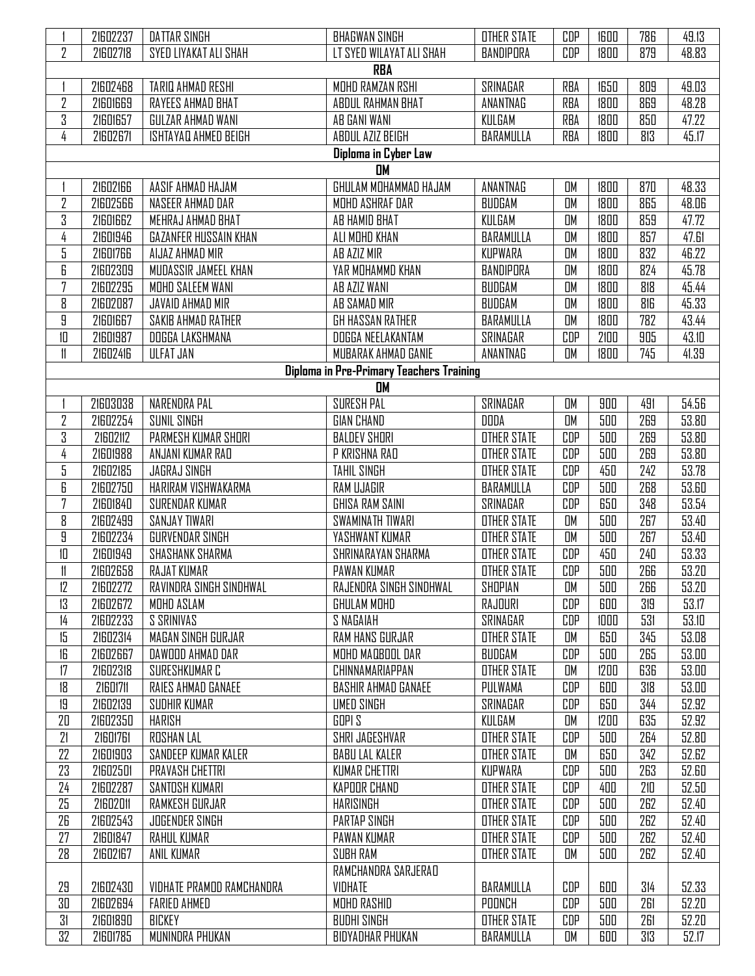|                      | 21602237 | <b>DATTAR SINGH</b>          | <b>BHAGWAN SINGH</b>                            | <b>OTHER STATE</b> | CDP        | 1600 | 786 | 49.13 |  |  |
|----------------------|----------|------------------------------|-------------------------------------------------|--------------------|------------|------|-----|-------|--|--|
| $\overline{2}$       | 21602718 | SYED LIYAKAT ALI SHAH        | LT SYED WILAYAT ALI SHAH                        | BANDIPORA          | CDP        | 1800 | 879 | 48.83 |  |  |
| <b>RBA</b>           |          |                              |                                                 |                    |            |      |     |       |  |  |
|                      | 21602468 | TARIQ AHMAD RESHI            | MOHD RAMZAN RSHI                                | SRINAGAR           | <b>RBA</b> | 1650 | 809 | 49.03 |  |  |
|                      | 21601669 |                              | ABDUL RAHMAN BHAT                               |                    |            |      | 869 | 48.28 |  |  |
| 2                    |          | RAYEES AHMAD BHAT            |                                                 | ANANTNAG           | <b>RBA</b> | 1800 |     |       |  |  |
| 3                    | 21601657 | GULZAR AHMAD WANI            | AB GANI WANI                                    | KULGAM             | <b>RBA</b> | 1800 | 850 | 47.22 |  |  |
| 4                    | 21602671 | ISHTAYAQ AHMED BEIGH         | ABDUL AZIZ BEIGH                                | BARAMULLA          | RBA        | 1800 | 813 | 45.17 |  |  |
| Diploma in Cyber Law |          |                              |                                                 |                    |            |      |     |       |  |  |
|                      |          |                              | <b>DM</b>                                       |                    |            |      |     |       |  |  |
|                      | 21602166 | AASIF AHMAD HAJAM            | GHULAM MOHAMMAD HAJAM                           | ANANTNAG           | OM         | 1800 | 870 | 48.33 |  |  |
| 2                    | 21602566 | NASEER AHMAD DAR             | MOHD ASHRAF DAR                                 | BUDGAM             | <b>OM</b>  | 1800 | 865 | 48.06 |  |  |
| 3                    | 21601662 | MEHRAJ AHMAD BHAT            | AB HAMID BHAT                                   | KULGAM             | OM         | 1800 | 859 | 47.72 |  |  |
| 4                    | 21601946 | <b>GAZANFER HUSSAIN KHAN</b> | ALI MOHD KHAN                                   | BARAMULLA          | <b>OM</b>  | 1800 | 857 | 47.61 |  |  |
| 5                    | 21601766 | AIJAZ AHMAD MIR              | AB AZIZ MIR                                     | KUPWARA            | <b>OM</b>  | 1800 | 832 | 46.22 |  |  |
| 6                    | 21602309 | MUDASSIR JAMEEL KHAN         | YAR MOHAMMD KHAN                                | BANDIPORA          | <b>OM</b>  | 1800 | 824 | 45.78 |  |  |
| 7                    | 21602295 | MOHD SALEEM WANI             | AB AZIZ WANI                                    | BUDGAM             | OM         | 1800 | 818 | 45.44 |  |  |
| 8                    | 21602087 | JAVAID AHMAD MIR             | AB SAMAD MIR                                    | BUDGAM             | <b>OM</b>  | 1800 | 816 | 45.33 |  |  |
| 9                    | 21601667 | SAKIB AHMAD RATHER           | GH HASSAN RATHER                                | BARAMULLA          | OM         | 1800 | 782 | 43.44 |  |  |
| 10                   | 21601987 | DOGGA LAKSHMANA              | DOGGA NEELAKANTAM                               | SRINAGAR           | CDP        | 2100 | 905 | 43.10 |  |  |
| 11                   | 21602416 | <b>ULFAT JAN</b>             | MUBARAK AHMAD GANIE                             | ANANTNAG           | OM         | 1800 | 745 | 41.39 |  |  |
|                      |          |                              | <b>Diploma in Pre-Primary Teachers Training</b> |                    |            |      |     |       |  |  |
|                      |          |                              | <b>DM</b>                                       |                    |            |      |     |       |  |  |
|                      | 21603038 | NARENDRA PAL                 | <b>SURESH PAL</b>                               | SRINAGAR           | OМ         | 900  | 491 | 54.56 |  |  |
| 2                    | 21602254 | <b>SUNIL SINGH</b>           | <b>GIAN CHAND</b>                               | DODA               | OM         | 500  | 269 | 53.80 |  |  |
| 3                    | 21602112 | PARMESH KUMAR SHORI          | <b>BALDEV SHORI</b>                             | <b>OTHER STATE</b> | CDP        | 500  | 269 | 53.80 |  |  |
| 4                    | 21601988 | ANJANI KUMAR RAD             | P KRISHNA RAD                                   | <b>OTHER STATE</b> | CDP        | 500  | 269 | 53.80 |  |  |
| 5                    | 21602185 | <b>JAGRAJ SINGH</b>          | <b>TAHIL SINGH</b>                              | <b>OTHER STATE</b> | CDP        | 450  | 242 | 53.78 |  |  |
| 6                    | 21602750 | HARIRAM VISHWAKARMA          | RAM UJAGIR                                      | BARAMULLA          | CDP        | 500  | 268 | 53.60 |  |  |
| $\overline{7}$       | 21601840 | SURENDAR KUMAR               | GHISA RAM SAINI                                 | SRINAGAR           | CDP        | 650  | 348 | 53.54 |  |  |
| 8                    | 21602499 | <b>SANJAY TIWARI</b>         | <b>SWAMINATH TIWARI</b>                         | <b>OTHER STATE</b> | OM         | 500  | 267 | 53.40 |  |  |
| 9                    | 21602234 | <b>GURVENDAR SINGH</b>       | YASHWANT KUMAR                                  | <b>OTHER STATE</b> | OM         | 500  | 267 | 53.40 |  |  |
| 10                   | 21601949 | <b>SHASHANK SHARMA</b>       | SHRINARAYAN SHARMA                              | <b>OTHER STATE</b> | CDP        | 450  | 240 | 53.33 |  |  |
| 11                   | 21602658 | <b>RAJAT KUMAR</b>           | <b>PAWAN KUMAR</b>                              | <b>OTHER STATE</b> | CDP        | 500  | 266 | 53.20 |  |  |
| 12                   | 21602272 | RAVINDRA SINGH SINDHWAL      | RAJENDRA SINGH SINDHWAL                         | SHOPIAN            | OM         | 500  | 266 | 53.20 |  |  |
| 13                   | 21602672 | MOHD ASLAM                   | GHULAM MOHD                                     | RAJOURI            | CDP        | 600  | 319 | 53.17 |  |  |
| 14                   | 21602233 | S SRINIVAS                   | S NAGAIAH                                       | SRINAGAR           | CDP        | 1000 | 531 | 53.10 |  |  |
| 15                   | 21602314 | MAGAN SINGH GURJAR           | RAM HANS GURJAR                                 | <b>OTHER STATE</b> | OM         | 650  | 345 | 53.08 |  |  |
| 16                   | 21602667 | DAWDOD AHMAD DAR             | MOHD MAQBOOL DAR                                | BUDGAM             | CDP        | 500  | 265 | 53.00 |  |  |
| 17                   | 21602318 | SURESHKUMAR C                | CHINNAMARIAPPAN                                 | <b>OTHER STATE</b> | OM         | 1200 | 636 | 53.00 |  |  |
| 18                   | 21601711 | RAIES AHMAD GANAEE           | <b>BASHIR AHMAD GANAEE</b>                      | PULWAMA            | CDP        | 600  | 318 | 53.00 |  |  |
| 19                   | 21602139 | SUDHIR KUMAR                 | <b>UMED SINGH</b>                               | SRINAGAR           | CDP        | 650  | 344 | 52.92 |  |  |
| 20                   | 21602350 | <b>HARISH</b>                | GOPI S                                          | KULGAM             | OM         | 1200 | 635 | 52.92 |  |  |
| 21                   | 21601761 | <b>ROSHAN LAL</b>            | SHRI JAGESHVAR                                  | <b>OTHER STATE</b> | CDP        | 500  | 264 | 52.80 |  |  |
| 22                   | 21601903 | SANDEEP KUMAR KALER          | <b>BABU LAL KALER</b>                           | <b>OTHER STATE</b> | OM         | 650  | 342 | 52.62 |  |  |
| 23                   | 21602501 | <b>PRAVASH CHETTRI</b>       | <b>KUMAR CHETTRI</b>                            | KUPWARA            | CDP        | 500  | 263 | 52.60 |  |  |
| 24                   | 21602287 | SANTOSH KUMARI               | <b>KAPOOR CHAND</b>                             | <b>OTHER STATE</b> | CDP        | 400  | 210 | 52.50 |  |  |
| 25                   | 21602011 | RAMKESH GURJAR               | HARISINGH                                       | <b>OTHER STATE</b> | CDP        | 500  | 262 | 52.40 |  |  |
| 26                   | 21602543 | <b>JOGENDER SINGH</b>        | <b>PARTAP SINGH</b>                             | <b>OTHER STATE</b> | CDP        | 500  | 262 | 52.40 |  |  |
| 27                   | 21601847 | RAHUL KUMAR                  | PAWAN KUMAR                                     | <b>OTHER STATE</b> | CDP        | 500  | 262 | 52.40 |  |  |
| 28                   | 21602167 | <b>ANIL KUMAR</b>            | SUBH RAM                                        | <b>OTHER STATE</b> | OM         | 500  | 262 | 52.40 |  |  |
|                      |          |                              | RAMCHANDRA SARJERAO                             |                    |            |      |     |       |  |  |
| 29                   | 21602430 | VIDHATE PRAMOD RAMCHANDRA    | VIDHATE                                         | BARAMULLA          | CDP        | 600  | 314 | 52.33 |  |  |
| 30                   | 21602694 | <b>FARIED AHMED</b>          | MOHD RASHID                                     | POONCH             | CDP        | 500  | 261 | 52.20 |  |  |
| 31                   | 21601890 | <b>BICKEY</b>                | <b>BUDHI SINGH</b>                              | <b>OTHER STATE</b> | CDP        | 500  | 261 | 52.20 |  |  |
| 32                   | 21601785 | MUNINDRA PHUKAN              | <b>BIDYADHAR PHUKAN</b>                         | BARAMULLA          | OM         | 600  | 313 | 52.17 |  |  |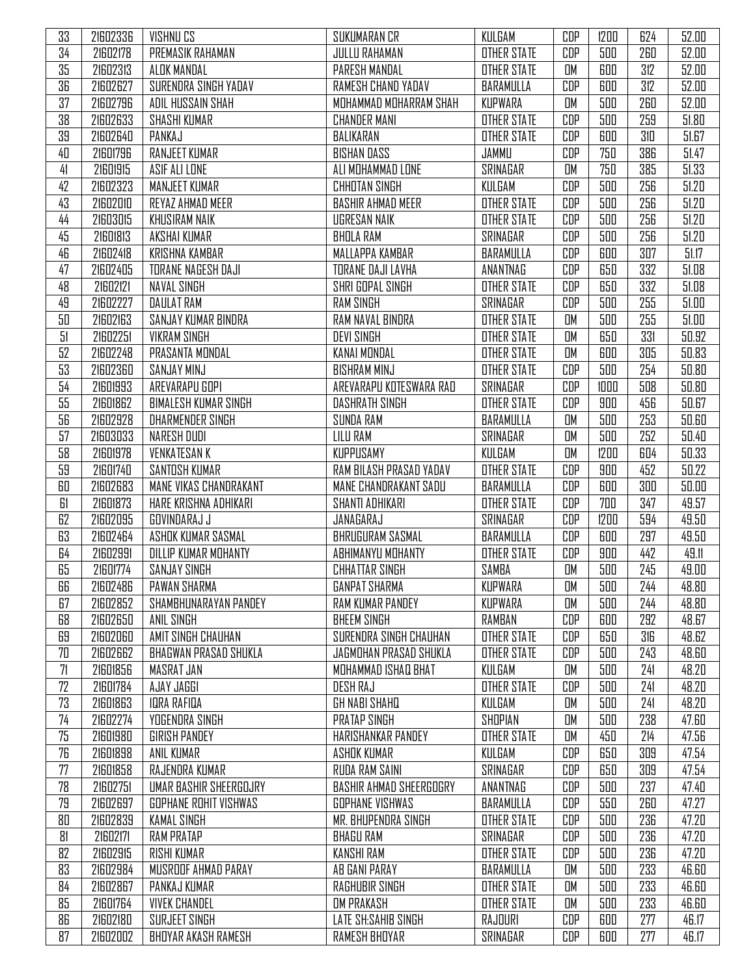| 33 | 21602336 | VISHNU CS                    | SUKUMARAN CR                   | KULGAM             | CDP | 1200 | 624 | 52.00 |
|----|----------|------------------------------|--------------------------------|--------------------|-----|------|-----|-------|
| 34 | 21602178 | PREMASIK RAHAMAN             | <b>JULLU RAHAMAN</b>           | <b>OTHER STATE</b> | CDP | 500  | 260 | 52.00 |
| 35 | 21602313 | ALOK MANDAL                  | PARESH MANDAL                  | <b>OTHER STATE</b> | OM  | 600  | 312 | 52.00 |
| 36 | 21602627 | SURENDRA SINGH YADAV         | RAMESH CHAND YADAV             | BARAMULLA          | CDP | 600  | 312 | 52.00 |
| 37 | 21602796 | ADIL HUSSAIN SHAH            | MOHAMMAD MOHARRAM SHAH         | KUPWARA            | OM  | 500  | 260 | 52.00 |
| 38 | 21602633 | <b>SHASHI KUMAR</b>          | <b>CHANDER MANI</b>            | <b>OTHER STATE</b> | CDP | 500  | 259 | 51.80 |
| 39 | 21602640 | PANKAJ                       | BALIKARAN                      | <b>OTHER STATE</b> | CDP | 600  | 310 | 51.67 |
| 40 | 21601796 | <b>RANJEET KUMAR</b>         | <b>BISHAN DASS</b>             | JAMMU              | CDP | 750  | 386 | 51.47 |
| 41 | 21601915 | ASIF ALI LONE                | ALI MOHAMMAD LONE              | SRINAGAR           | OM  | 750  | 385 | 51.33 |
| 42 | 21602323 | <b>MANJEET KUMAR</b>         | <b>CHHOTAN SINGH</b>           | KULGAM             | CDP | 500  | 256 | 51.20 |
| 43 | 21602010 | REYAZ AHMAD MEER             | <b>BASHIR AHMAD MEER</b>       | <b>OTHER STATE</b> | CDP | 500  | 256 | 51.20 |
| 44 | 21603015 | <b>KHUSIRAM NAIK</b>         | <b>UGRESAN NAIK</b>            | <b>OTHER STATE</b> | CDP | 500  | 256 | 51.20 |
| 45 | 21601813 | AKSHAI KUMAR                 | <b>BHOLA RAM</b>               | SRINAGAR           | CDP | 500  | 256 | 51.20 |
| 46 | 21602418 | KRISHNA KAMBAR               | MALLAPPA KAMBAR                | BARAMULLA          | CDP | 600  | 307 | 51.17 |
| 47 | 21602405 | TORANE NAGESH DAJI           | TORANE DAJI LAVHA              | ANANTNAG           | CDP | 650  | 332 | 51.08 |
| 48 | 21602121 | <b>NAVAL SINGH</b>           | SHRI GOPAL SINGH               | <b>OTHER STATE</b> | CDP | 650  | 332 | 51.08 |
| 49 | 21602227 | <b>DAULAT RAM</b>            | <b>RAM SINGH</b>               | SRINAGAR           | CDP | 500  | 255 | 51.00 |
| 50 | 21602163 | SANJAY KUMAR BINDRA          | RAM NAVAL BINDRA               | <b>OTHER STATE</b> | OM  | 500  | 255 | 51.00 |
| 51 | 21602251 | <b>VIKRAM SINGH</b>          | <b>DEVI SINGH</b>              | <b>OTHER STATE</b> | OM  | 650  | 331 | 50.92 |
| 52 | 21602248 | PRASANTA MONDAL              | KANAI MONDAL                   | <b>OTHER STATE</b> | OM  | 600  | 305 | 50.83 |
| 53 | 21602360 | <b>SANJAY MINJ</b>           | <b>BISHRAM MINJ</b>            | <b>OTHER STATE</b> | CDP | 500  | 254 | 50.80 |
| 54 | 21601993 | AREVARAPU GOPI               | AREVARAPU KOTESWARA RAD        | SRINAGAR           | CDP | 1000 | 508 | 50.80 |
| 55 | 21601862 | <b>BIMALESH KUMAR SINGH</b>  | DASHRATH SINGH                 | <b>OTHER STATE</b> | CDP | 900  | 456 | 50.67 |
| 56 | 21602928 | <b>DHARMENDER SINGH</b>      | <b>SUNDA RAM</b>               | BARAMULLA          | OM  | 500  | 253 | 50.60 |
| 57 | 21603033 | NARESH DUDI                  | <b>LILU RAM</b>                | SRINAGAR           | OM  | 500  | 252 | 50.40 |
| 58 | 21601978 | <b>VENKATESAN K</b>          | KUPPUSAMY                      | KULGAM             | OM  | 1200 | 604 | 50.33 |
| 59 | 21601740 | SANTOSH KUMAR                | RAM BILASH PRASAD YADAV        | <b>OTHER STATE</b> | CDP | 900  | 452 | 50.22 |
| 60 | 21602683 | MANE VIKAS CHANDRAKANT       | MANE CHANDRAKANT SADU          | BARAMULLA          | CDP | 600  | 300 | 50.00 |
| 61 | 21601873 | HARE KRISHNA ADHIKARI        | SHANTI ADHIKARI                | <b>OTHER STATE</b> | CDP | 700  | 347 | 49.57 |
| 62 | 21602095 | GOVINDARAJ J                 | JANAGARAJ                      | SRINAGAR           | CDP | 1200 | 594 | 49.50 |
| 63 | 21602464 | ASHOK KUMAR SASMAL           | <b>BHRUGURAM SASMAL</b>        | BARAMULLA          | CDP | 600  | 297 | 49.50 |
| 64 | 21602991 | DILLIP KUMAR MOHANTY         | ABHIMANYU MOHANTY              | <b>OTHER STATE</b> | CDP | 900  | 442 | 49.11 |
| 65 | 21601774 | <b>SANJAY SINGH</b>          | <b>CHHATTAR SINGH</b>          | SAMBA              | OM  | 500  | 245 | 49.00 |
| 66 | 21602486 | PAWAN SHARMA                 | GANPAT SHARMA                  | KUPWARA            | UМ  | 500  | 244 | 48.80 |
| 67 | 21602852 | SHAMBHUNARAYAN PANDEY        | <b>RAM KUMAR PANDEY</b>        | KUPWARA            | OM  | 500  | 244 | 48.80 |
| 68 | 21602650 | ANIL SINGH                   | <b>BHEEM SINGH</b>             | RAMBAN             | CDP | 600  | 292 | 48.67 |
| 69 | 21602060 | AMIT SINGH CHAUHAN           | SURENDRA SINGH CHAUHAN         | <b>OTHER STATE</b> | CDP | 650  | 316 | 48.62 |
| 70 | 21602662 | <b>BHAGWAN PRASAD SHUKLA</b> | JAGMOHAN PRASAD SHUKLA         | <b>OTHER STATE</b> | CDP | 500  | 243 | 48.60 |
| 71 | 21601856 | MASRAT JAN                   | MOHAMMAD ISHAQ BHAT            | KULGAM             | OM  | 500  | 241 | 48.20 |
| 72 | 21601784 | AJAY JAGGI                   | DESH RAJ                       | <b>OTHER STATE</b> | CDP | 500  | 241 | 48.20 |
| 73 | 21601863 | <b>IDRA RAFIDA</b>           | <b>GH NABI SHAHQ</b>           | KULGAM             | OM  | 500  | 241 | 48.20 |
| 74 | 21602274 | <b>YOGENDRA SINGH</b>        | PRATAP SINGH                   | SHOPIAN            | OM  | 500  | 238 | 47.60 |
| 75 | 21601980 | GIRISH PANDEY                | HARISHANKAR PANDEY             | <b>OTHER STATE</b> | OM  | 450  | 214 | 47.56 |
| 76 | 21601898 | <b>ANIL KUMAR</b>            | <b>ASHOK KUMAR</b>             | KULGAM             | CDP | 650  | 309 | 47.54 |
| 77 | 21601858 | RAJENDRA KUMAR               | RUDA RAM SAINI                 | SRINAGAR           | CDP | 650  | 309 | 47.54 |
| 78 | 21602751 | UMAR BASHIR SHEERGOJRY       | <b>BASHIR AHMAD SHEERGOGRY</b> | ANANTNAG           | CDP | 500  | 237 | 47.40 |
| 79 | 21602697 | <b>GOPHANE ROHIT VISHWAS</b> | <b>GOPHANE VISHWAS</b>         | BARAMULLA          | CDP | 550  | 260 | 47.27 |
| 80 | 21602839 | <b>KAMAL SINGH</b>           | MR. BHUPENDRA SINGH            | <b>OTHER STATE</b> | CDP | 500  | 236 | 47.20 |
| 81 | 21602171 | RAM PRATAP                   | <b>BHAGU RAM</b>               | SRINAGAR           | CDP | 500  | 236 | 47.20 |
| 82 | 21602915 | <b>RISHI KUMAR</b>           | <b>KANSHI RAM</b>              | <b>OTHER STATE</b> | CDP | 500  | 236 | 47.20 |
| 83 | 21602984 | MUSROOF AHMAD PARAY          | AB GANI PARAY                  | BARAMULLA          | OM  | 500  | 233 | 46.60 |
| 84 | 21602867 | PANKAJ KUMAR                 | <b>RAGHUBIR SINGH</b>          | <b>OTHER STATE</b> | OM  | 500  | 233 | 46.60 |
| 85 | 21601764 | <b>VIVEK CHANDEL</b>         | <b>OM PRAKASH</b>              | <b>OTHER STATE</b> | OM  | 500  | 233 | 46.60 |
| 86 | 21602180 | SURJEET SINGH                | LATE SH:SAHIB SINGH            | RAJOURI            | CDP | 600  | 277 | 46.17 |
| 87 | 21602002 | BHOYAR AKASH RAMESH          | RAMESH BHOYAR                  | SRINAGAR           | CDP | 600  | 277 | 46.17 |